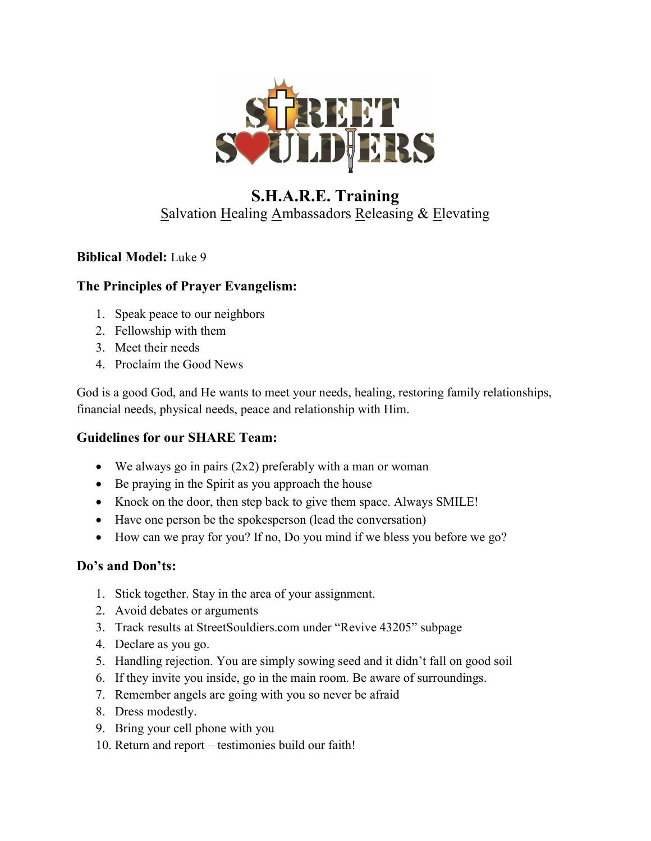

# S.H.A.R.E. Training Salvation Healing Ambassadors Releasing & Elevating

### Biblical Model: Luke 9

#### The Principles of Prayer Evangelism:

- 1. Speak peace to our neighbors
- 2. Fellowship with them
- 3. Meet their needs
- 4. Proclaim the Good News

God is a good God, and He wants to meet your needs, healing, restoring family relationships, financial needs, physical needs, peace and relationship with Him.

## Guidelines for our SHARE Team:

- We always go in pairs (2x2) preferably with a man or woman
- Be praying in the Spirit as you approach the house
- Knock on the door, then step back to give them space. Always SMILE!
- Have one person be the spokesperson (lead the conversation)
- How can we pray for you? If no, Do you mind if we bless you before we go?

## Do's and Don'ts:

- 1. Stick together. Stay in the area of your assignment.
- 2. Avoid debates or arguments
- 3. Track results at StreetSouldiers.com under "Revive 43205" subpage
- 4. Declare as you go.
- 5. Handling rejection. You are simply sowing seed and it didn't fall on good soil
- 6. If they invite you inside, go in the main room. Be aware of surroundings.
- 7. Remember angels are going with you so never be afraid
- 8. Dress modestly.
- 9. Bring your cell phone with you
- 10. Return and report testimonies build our faith!